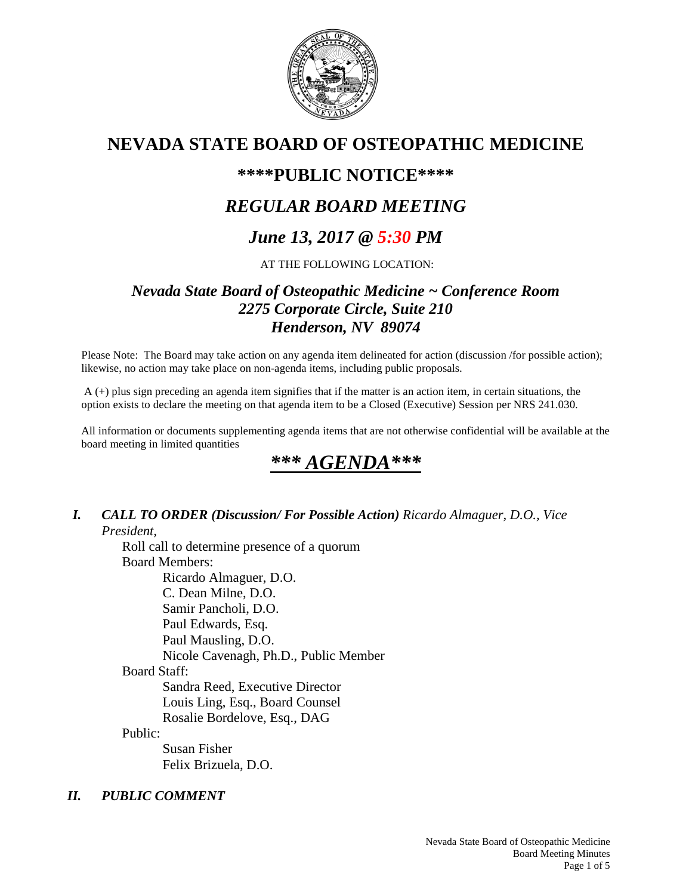

# **NEVADA STATE BOARD OF OSTEOPATHIC MEDICINE**

# **\*\*\*\*PUBLIC NOTICE\*\*\*\***

# *REGULAR BOARD MEETING*

# *June 13, 2017 @ 5:30 PM*

### AT THE FOLLOWING LOCATION:

## *Nevada State Board of Osteopathic Medicine ~ Conference Room 2275 Corporate Circle, Suite 210 Henderson, NV 89074*

Please Note: The Board may take action on any agenda item delineated for action (discussion /for possible action); likewise, no action may take place on non-agenda items, including public proposals.

 A (+) plus sign preceding an agenda item signifies that if the matter is an action item, in certain situations, the option exists to declare the meeting on that agenda item to be a Closed (Executive) Session per NRS 241.030.

All information or documents supplementing agenda items that are not otherwise confidential will be available at the board meeting in limited quantities

# *\*\*\* AGENDA\*\*\**

#### *I. CALL TO ORDER (Discussion/ For Possible Action) Ricardo Almaguer, D.O., Vice President,*

Roll call to determine presence of a quorum Board Members: Ricardo Almaguer, D.O. C. Dean Milne, D.O. Samir Pancholi, D.O. Paul Edwards, Esq. Paul Mausling, D.O. Nicole Cavenagh, Ph.D., Public Member Board Staff: Sandra Reed, Executive Director Louis Ling, Esq., Board Counsel Rosalie Bordelove, Esq., DAG Public:

 Susan Fisher Felix Brizuela, D.O.

## *II. PUBLIC COMMENT*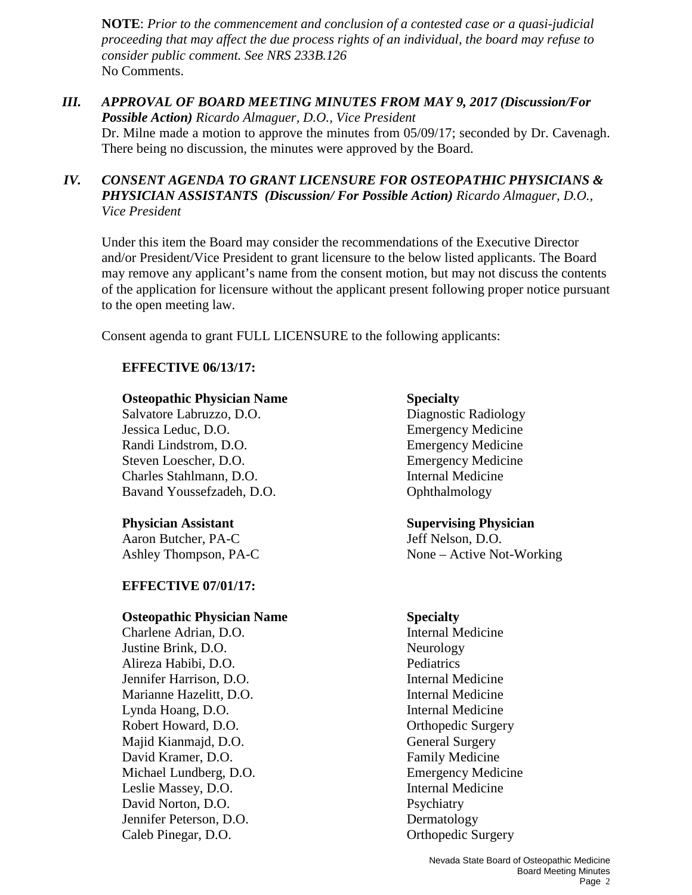**NOTE**: *Prior to the commencement and conclusion of a contested case or a quasi-judicial proceeding that may affect the due process rights of an individual, the board may refuse to consider public comment. See NRS 233B.126*  No Comments.

*III. APPROVAL OF BOARD MEETING MINUTES FROM MAY 9, 2017 (Discussion/For Possible Action) Ricardo Almaguer, D.O., Vice President*  Dr. Milne made a motion to approve the minutes from 05/09/17; seconded by Dr. Cavenagh. There being no discussion, the minutes were approved by the Board.

#### *IV. CONSENT AGENDA TO GRANT LICENSURE FOR OSTEOPATHIC PHYSICIANS & PHYSICIAN ASSISTANTS (Discussion/ For Possible Action) Ricardo Almaguer, D.O., Vice President*

Under this item the Board may consider the recommendations of the Executive Director and/or President/Vice President to grant licensure to the below listed applicants. The Board may remove any applicant's name from the consent motion, but may not discuss the contents of the application for licensure without the applicant present following proper notice pursuant to the open meeting law.

Consent agenda to grant FULL LICENSURE to the following applicants:

#### **EFFECTIVE 06/13/17:**

#### **Osteopathic Physician Name Specialty**

Salvatore Labruzzo, D.O. Diagnostic Radiology Jessica Leduc, D.O. Emergency Medicine Randi Lindstrom, D.O. Emergency Medicine Steven Loescher, D.O. Emergency Medicine Charles Stahlmann, D.O. Internal Medicine Bavand Youssefzadeh, D.O. **Ophthalmology** 

Aaron Butcher, PA-C Jeff Nelson, D.O. Ashley Thompson, PA-C None – Active Not-Working

#### **EFFECTIVE 07/01/17:**

#### **Osteopathic Physician Name Specialty**

Charlene Adrian, D.O. Internal Medicine Justine Brink, D.O. Neurology Alireza Habibi, D.O. Pediatrics Jennifer Harrison, D.O. **Internal Medicine** Marianne Hazelitt, D.O.<br>
Lynda Hoang. D.O.<br>
Internal Medicine<br>
Internal Medicine Lynda Hoang, D.O. Robert Howard, D.O. **Orthopedic Surgery** Majid Kianmajd, D.O. General Surgery David Kramer, D.O. **Family Medicine** Michael Lundberg, D.O. Emergency Medicine Leslie Massey, D.O. **Internal Medicine** David Norton, D.O. Psychiatry Jennifer Peterson, D.O. Dermatology Caleb Pinegar, D.O. **Orthopedic Surgery** 

# **Physician Assistant Supervising Physician**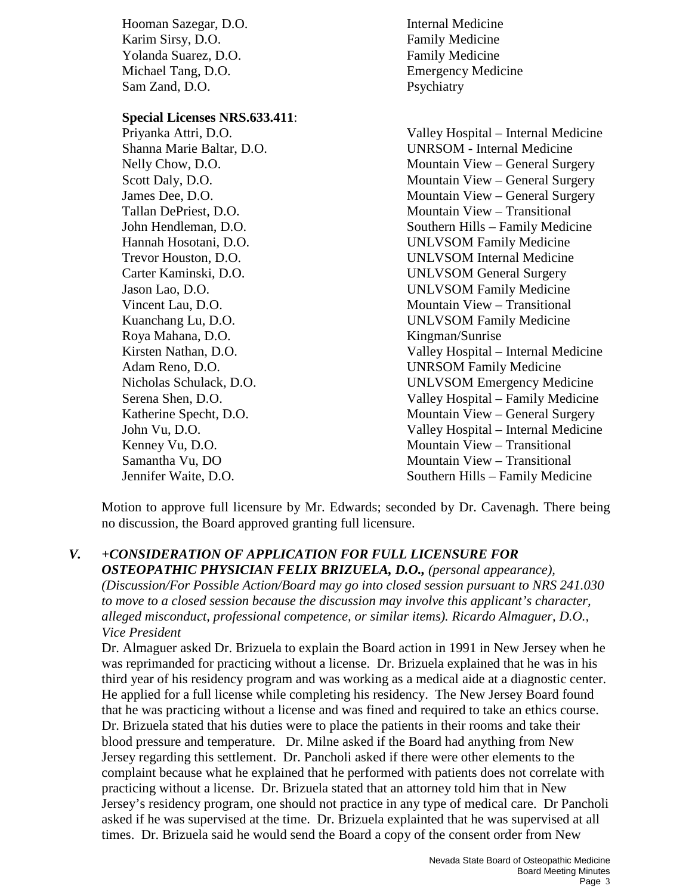Hooman Sazegar, D.O. Internal Medicine Karim Sirsy, D.O. **Family Medicine** Yolanda Suarez, D.O. **Family Medicine** Michael Tang, D.O. **Emergency Medicine** Sam Zand, D.O. Psychiatry

#### **Special Licenses NRS.633.411**:

Roya Mahana, D.O. Kingman/Sunrise

Priyanka Attri, D.O. Valley Hospital – Internal Medicine Shanna Marie Baltar, D.O. UNRSOM - Internal Medicine Nelly Chow, D.O. **Mountain View – General Surgery** Scott Daly, D.O. Mountain View – General Surgery James Dee, D.O. Mountain View – General Surgery Tallan DePriest, D.O. Mountain View – Transitional John Hendleman, D.O. Southern Hills – Family Medicine Hannah Hosotani, D.O. UNLVSOM Family Medicine Trevor Houston, D.O. UNLVSOM Internal Medicine Carter Kaminski, D.O. UNLVSOM General Surgery Jason Lao, D.O. UNLVSOM Family Medicine Vincent Lau, D.O. Mountain View – Transitional Kuanchang Lu, D.O. UNLVSOM Family Medicine Kirsten Nathan, D.O. Valley Hospital – Internal Medicine Adam Reno, D.O. UNRSOM Family Medicine Nicholas Schulack, D.O. UNLVSOM Emergency Medicine Serena Shen, D.O. Valley Hospital – Family Medicine Katherine Specht, D.O. Mountain View – General Surgery John Vu, D.O. Valley Hospital – Internal Medicine Kenney Vu, D.O. Mountain View – Transitional Samantha Vu, DO Mountain View – Transitional Jennifer Waite, D.O. Southern Hills – Family Medicine

Motion to approve full licensure by Mr. Edwards; seconded by Dr. Cavenagh. There being no discussion, the Board approved granting full licensure.

*V. +CONSIDERATION OF APPLICATION FOR FULL LICENSURE FOR OSTEOPATHIC PHYSICIAN FELIX BRIZUELA, D.O., (personal appearance), (Discussion/For Possible Action/Board may go into closed session pursuant to NRS 241.030 to move to a closed session because the discussion may involve this applicant's character, alleged misconduct, professional competence, or similar items). Ricardo Almaguer, D.O., Vice President* 

Dr. Almaguer asked Dr. Brizuela to explain the Board action in 1991 in New Jersey when he was reprimanded for practicing without a license. Dr. Brizuela explained that he was in his third year of his residency program and was working as a medical aide at a diagnostic center. He applied for a full license while completing his residency. The New Jersey Board found that he was practicing without a license and was fined and required to take an ethics course. Dr. Brizuela stated that his duties were to place the patients in their rooms and take their blood pressure and temperature. Dr. Milne asked if the Board had anything from New Jersey regarding this settlement. Dr. Pancholi asked if there were other elements to the complaint because what he explained that he performed with patients does not correlate with practicing without a license. Dr. Brizuela stated that an attorney told him that in New Jersey's residency program, one should not practice in any type of medical care. Dr Pancholi asked if he was supervised at the time. Dr. Brizuela explainted that he was supervised at all times. Dr. Brizuela said he would send the Board a copy of the consent order from New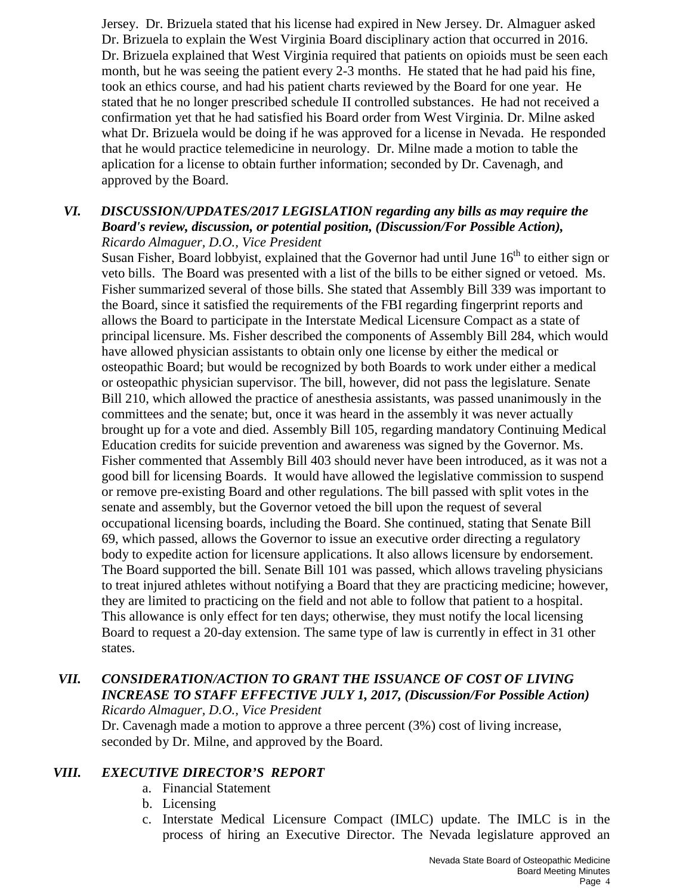Jersey. Dr. Brizuela stated that his license had expired in New Jersey. Dr. Almaguer asked Dr. Brizuela to explain the West Virginia Board disciplinary action that occurred in 2016. Dr. Brizuela explained that West Virginia required that patients on opioids must be seen each month, but he was seeing the patient every 2-3 months. He stated that he had paid his fine, took an ethics course, and had his patient charts reviewed by the Board for one year. He stated that he no longer prescribed schedule II controlled substances. He had not received a confirmation yet that he had satisfied his Board order from West Virginia. Dr. Milne asked what Dr. Brizuela would be doing if he was approved for a license in Nevada. He responded that he would practice telemedicine in neurology. Dr. Milne made a motion to table the aplication for a license to obtain further information; seconded by Dr. Cavenagh, and approved by the Board.

#### *VI. DISCUSSION/UPDATES/2017 LEGISLATION regarding any bills as may require the Board's review, discussion, or potential position, (Discussion/For Possible Action), Ricardo Almaguer, D.O., Vice President*

Susan Fisher, Board lobbyist, explained that the Governor had until June  $16<sup>th</sup>$  to either sign or veto bills. The Board was presented with a list of the bills to be either signed or vetoed. Ms. Fisher summarized several of those bills. She stated that Assembly Bill 339 was important to the Board, since it satisfied the requirements of the FBI regarding fingerprint reports and allows the Board to participate in the Interstate Medical Licensure Compact as a state of principal licensure. Ms. Fisher described the components of Assembly Bill 284, which would have allowed physician assistants to obtain only one license by either the medical or osteopathic Board; but would be recognized by both Boards to work under either a medical or osteopathic physician supervisor. The bill, however, did not pass the legislature. Senate Bill 210, which allowed the practice of anesthesia assistants, was passed unanimously in the committees and the senate; but, once it was heard in the assembly it was never actually brought up for a vote and died. Assembly Bill 105, regarding mandatory Continuing Medical Education credits for suicide prevention and awareness was signed by the Governor. Ms. Fisher commented that Assembly Bill 403 should never have been introduced, as it was not a good bill for licensing Boards. It would have allowed the legislative commission to suspend or remove pre-existing Board and other regulations. The bill passed with split votes in the senate and assembly, but the Governor vetoed the bill upon the request of several occupational licensing boards, including the Board. She continued, stating that Senate Bill 69, which passed, allows the Governor to issue an executive order directing a regulatory body to expedite action for licensure applications. It also allows licensure by endorsement. The Board supported the bill. Senate Bill 101 was passed, which allows traveling physicians to treat injured athletes without notifying a Board that they are practicing medicine; however, they are limited to practicing on the field and not able to follow that patient to a hospital. This allowance is only effect for ten days; otherwise, they must notify the local licensing Board to request a 20-day extension. The same type of law is currently in effect in 31 other states.

#### *VII. CONSIDERATION/ACTION TO GRANT THE ISSUANCE OF COST OF LIVING INCREASE TO STAFF EFFECTIVE JULY 1, 2017, (Discussion/For Possible Action) Ricardo Almaguer, D.O., Vice President*

Dr. Cavenagh made a motion to approve a three percent (3%) cost of living increase, seconded by Dr. Milne, and approved by the Board.

#### *VIII. EXECUTIVE DIRECTOR'S REPORT*

- a. Financial Statement
- b. Licensing
- c. Interstate Medical Licensure Compact (IMLC) update. The IMLC is in the process of hiring an Executive Director. The Nevada legislature approved an